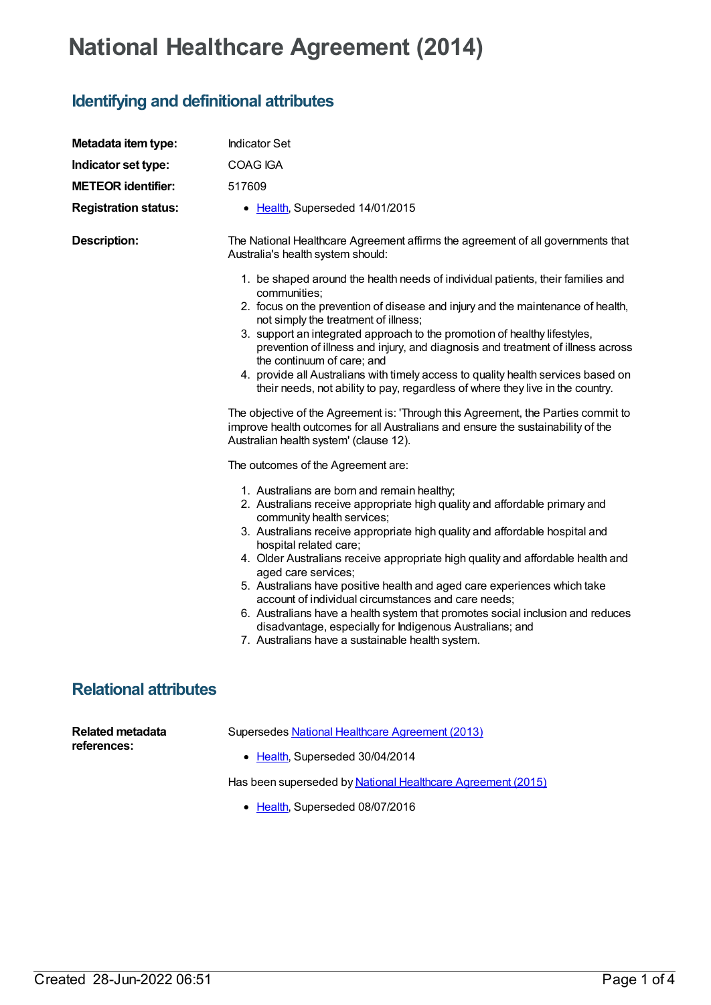## **National Healthcare Agreement (2014)**

## **Identifying and definitional attributes**

| Metadata item type:                    | <b>Indicator Set</b>                                                                                                                                                                                                                                                                                                                                                                                                                                                                                                                                                                                                                                                                                                                                                     |
|----------------------------------------|--------------------------------------------------------------------------------------------------------------------------------------------------------------------------------------------------------------------------------------------------------------------------------------------------------------------------------------------------------------------------------------------------------------------------------------------------------------------------------------------------------------------------------------------------------------------------------------------------------------------------------------------------------------------------------------------------------------------------------------------------------------------------|
| Indicator set type:                    | COAG IGA                                                                                                                                                                                                                                                                                                                                                                                                                                                                                                                                                                                                                                                                                                                                                                 |
| <b>METEOR identifier:</b>              | 517609                                                                                                                                                                                                                                                                                                                                                                                                                                                                                                                                                                                                                                                                                                                                                                   |
| <b>Registration status:</b>            | • Health, Superseded 14/01/2015                                                                                                                                                                                                                                                                                                                                                                                                                                                                                                                                                                                                                                                                                                                                          |
| <b>Description:</b>                    | The National Healthcare Agreement affirms the agreement of all governments that<br>Australia's health system should:                                                                                                                                                                                                                                                                                                                                                                                                                                                                                                                                                                                                                                                     |
|                                        | 1. be shaped around the health needs of individual patients, their families and<br>communities;<br>2. focus on the prevention of disease and injury and the maintenance of health,<br>not simply the treatment of illness;<br>3. support an integrated approach to the promotion of healthy lifestyles,<br>prevention of illness and injury, and diagnosis and treatment of illness across<br>the continuum of care; and<br>4. provide all Australians with timely access to quality health services based on<br>their needs, not ability to pay, regardless of where they live in the country.<br>The objective of the Agreement is: 'Through this Agreement, the Parties commit to<br>improve health outcomes for all Australians and ensure the sustainability of the |
|                                        | Australian health system' (clause 12).<br>The outcomes of the Agreement are:                                                                                                                                                                                                                                                                                                                                                                                                                                                                                                                                                                                                                                                                                             |
|                                        | 1. Australians are born and remain healthy;<br>2. Australians receive appropriate high quality and affordable primary and<br>community health services;<br>3. Australians receive appropriate high quality and affordable hospital and<br>hospital related care;<br>4. Older Australians receive appropriate high quality and affordable health and<br>aged care services;<br>5. Australians have positive health and aged care experiences which take<br>account of individual circumstances and care needs;<br>6. Australians have a health system that promotes social inclusion and reduces<br>disadvantage, especially for Indigenous Australians; and<br>7. Australians have a sustainable health system.                                                          |
| <b>Relational attributes</b>           |                                                                                                                                                                                                                                                                                                                                                                                                                                                                                                                                                                                                                                                                                                                                                                          |
| <b>Related metadata</b><br>references: | Supersedes National Healthcare Agreement (2013)<br>• Health, Superseded 30/04/2014                                                                                                                                                                                                                                                                                                                                                                                                                                                                                                                                                                                                                                                                                       |

Has been superseded by National Healthcare [Agreement](https://meteor.aihw.gov.au/content/558998) (2015)

• [Health](https://meteor.aihw.gov.au/RegistrationAuthority/12), Superseded 08/07/2016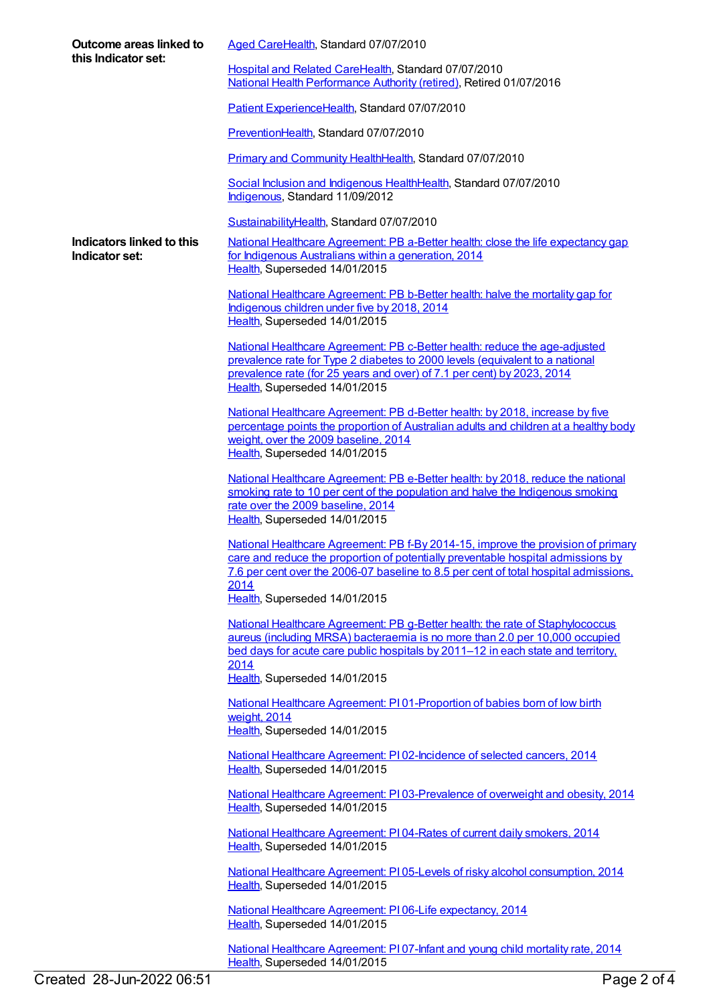| Outcome areas linked to<br>this Indicator set: | Aged CareHealth, Standard 07/07/2010                                                                                                                                                                                                                                  |
|------------------------------------------------|-----------------------------------------------------------------------------------------------------------------------------------------------------------------------------------------------------------------------------------------------------------------------|
|                                                | Hospital and Related CareHealth, Standard 07/07/2010<br>National Health Performance Authority (retired), Retired 01/07/2016                                                                                                                                           |
|                                                | Patient ExperienceHealth, Standard 07/07/2010                                                                                                                                                                                                                         |
|                                                | PreventionHealth, Standard 07/07/2010                                                                                                                                                                                                                                 |
|                                                | Primary and Community HealthHealth, Standard 07/07/2010                                                                                                                                                                                                               |
|                                                | Social Inclusion and Indigenous HealthHealth, Standard 07/07/2010<br>Indigenous, Standard 11/09/2012                                                                                                                                                                  |
|                                                | SustainabilityHealth, Standard 07/07/2010                                                                                                                                                                                                                             |
| Indicators linked to this<br>Indicator set:    | National Healthcare Agreement: PB a-Better health: close the life expectancy gap<br>for Indigenous Australians within a generation, 2014<br>Health, Superseded 14/01/2015                                                                                             |
|                                                | National Healthcare Agreement: PB b-Better health: halve the mortality gap for<br>Indigenous children under five by 2018, 2014<br>Health, Superseded 14/01/2015                                                                                                       |
|                                                | National Healthcare Agreement: PB c-Better health: reduce the age-adjusted<br>prevalence rate for Type 2 diabetes to 2000 levels (equivalent to a national<br>prevalence rate (for 25 years and over) of 7.1 per cent) by 2023, 2014<br>Health, Superseded 14/01/2015 |
|                                                | National Healthcare Agreement: PB d-Better health: by 2018, increase by five<br>percentage points the proportion of Australian adults and children at a healthy body<br>weight, over the 2009 baseline, 2014<br>Health, Superseded 14/01/2015                         |
|                                                | National Healthcare Agreement: PB e-Better health: by 2018, reduce the national<br>smoking rate to 10 per cent of the population and halve the Indigenous smoking<br>rate over the 2009 baseline, 2014<br>Health, Superseded 14/01/2015                               |
|                                                | National Healthcare Agreement: PB f-By 2014-15, improve the provision of primary<br>care and reduce the proportion of potentially preventable hospital admissions by<br>7.6 per cent over the 2006-07 baseline to 8.5 per cent of total hospital admissions,<br>2014  |
|                                                | Health, Superseded 14/01/2015                                                                                                                                                                                                                                         |
|                                                | National Healthcare Agreement: PB g-Better health: the rate of Staphylococcus<br>aureus (including MRSA) bacteraemia is no more than 2.0 per 10,000 occupied<br>bed days for acute care public hospitals by 2011-12 in each state and territory,                      |
|                                                | 2014<br>Health, Superseded 14/01/2015                                                                                                                                                                                                                                 |
|                                                | National Healthcare Agreement: PI01-Proportion of babies born of low birth<br>weight, 2014<br>Health, Superseded 14/01/2015                                                                                                                                           |
|                                                | National Healthcare Agreement: PI02-Incidence of selected cancers, 2014<br>Health, Superseded 14/01/2015                                                                                                                                                              |
|                                                | National Healthcare Agreement: PI03-Prevalence of overweight and obesity, 2014<br>Health, Superseded 14/01/2015                                                                                                                                                       |
|                                                | National Healthcare Agreement: PI04-Rates of current daily smokers, 2014<br>Health, Superseded 14/01/2015                                                                                                                                                             |
|                                                | National Healthcare Agreement: PI05-Levels of risky alcohol consumption, 2014<br>Health, Superseded 14/01/2015                                                                                                                                                        |
|                                                | National Healthcare Agreement: PI06-Life expectancy, 2014<br>Health, Superseded 14/01/2015                                                                                                                                                                            |
|                                                | National Healthcare Agreement: PI 07-Infant and young child mortality rate, 2014                                                                                                                                                                                      |

[Health](https://meteor.aihw.gov.au/RegistrationAuthority/12), Superseded 14/01/2015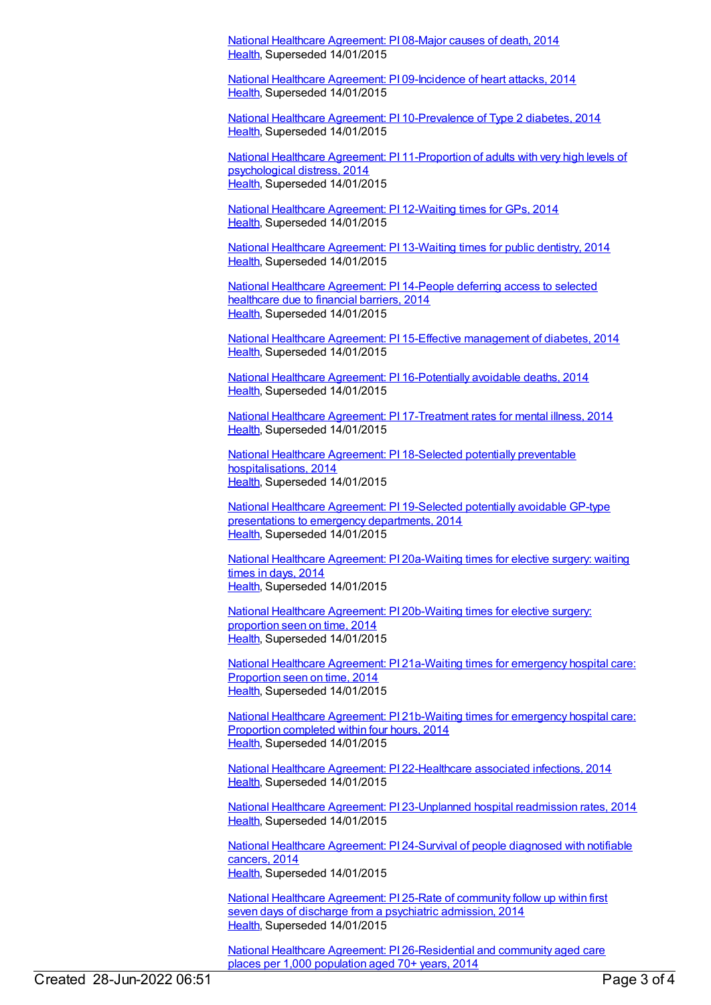National Healthcare [Agreement:](https://meteor.aihw.gov.au/content/517671) PI 08-Major causes of death, 2014 [Health](https://meteor.aihw.gov.au/RegistrationAuthority/12), Superseded 14/01/2015

National Healthcare Agreement: PI [09-Incidence](https://meteor.aihw.gov.au/content/517669) of heart attacks, 2014 [Health](https://meteor.aihw.gov.au/RegistrationAuthority/12), Superseded 14/01/2015

National Healthcare Agreement: PI [10-Prevalence](https://meteor.aihw.gov.au/content/517667) of Type 2 diabetes, 2014 [Health](https://meteor.aihw.gov.au/RegistrationAuthority/12), Superseded 14/01/2015

National Healthcare Agreement: PI [11-Proportion](https://meteor.aihw.gov.au/content/517665) of adults with very high levels of psychological distress, 2014 [Health](https://meteor.aihw.gov.au/RegistrationAuthority/12), Superseded 14/01/2015

National Healthcare [Agreement:](https://meteor.aihw.gov.au/content/517663) PI 12-Waiting times for GPs, 2014 [Health](https://meteor.aihw.gov.au/RegistrationAuthority/12), Superseded 14/01/2015

National Healthcare [Agreement:](https://meteor.aihw.gov.au/content/517658) PI 13-Waiting times for public dentistry, 2014 [Health](https://meteor.aihw.gov.au/RegistrationAuthority/12), Superseded 14/01/2015

National Healthcare [Agreement:](https://meteor.aihw.gov.au/content/517656) PI 14-People deferring access to selected healthcare due to financial barriers, 2014 [Health](https://meteor.aihw.gov.au/RegistrationAuthority/12), Superseded 14/01/2015

National Healthcare Agreement: PI 15-Effective [management](https://meteor.aihw.gov.au/content/517654) of diabetes, 2014 [Health](https://meteor.aihw.gov.au/RegistrationAuthority/12), Superseded 14/01/2015

National Healthcare Agreement: PI [16-Potentially](https://meteor.aihw.gov.au/content/517652) avoidable deaths, 2014 [Health](https://meteor.aihw.gov.au/RegistrationAuthority/12), Superseded 14/01/2015

National Healthcare Agreement: PI [17-Treatment](https://meteor.aihw.gov.au/content/517650) rates for mental illness, 2014 [Health](https://meteor.aihw.gov.au/RegistrationAuthority/12), Superseded 14/01/2015

National Healthcare Agreement: PI 18-Selected potentially preventable [hospitalisations,](https://meteor.aihw.gov.au/content/517648) 2014 [Health](https://meteor.aihw.gov.au/RegistrationAuthority/12), Superseded 14/01/2015

National Healthcare Agreement: PI [19-Selected](https://meteor.aihw.gov.au/content/517646) potentially avoidable GP-type presentations to emergency departments, 2014 [Health](https://meteor.aihw.gov.au/RegistrationAuthority/12), Superseded 14/01/2015

National Healthcare Agreement: PI [20a-Waiting](https://meteor.aihw.gov.au/content/517644) times for elective surgery: waiting times in days, 2014 [Health](https://meteor.aihw.gov.au/RegistrationAuthority/12), Superseded 14/01/2015

National Healthcare Agreement: PI [20b-Waiting](https://meteor.aihw.gov.au/content/517642) times for elective surgery: proportion seen on time, 2014 [Health](https://meteor.aihw.gov.au/RegistrationAuthority/12), Superseded 14/01/2015

National Healthcare Agreement: PI [21a-Waiting](https://meteor.aihw.gov.au/content/517640) times for emergency hospital care: Proportion seen on time, 2014 [Health](https://meteor.aihw.gov.au/RegistrationAuthority/12), Superseded 14/01/2015

National Healthcare Agreement: PI [21b-Waiting](https://meteor.aihw.gov.au/content/517638) times for emergency hospital care: Proportion completed within four hours, 2014 [Health](https://meteor.aihw.gov.au/RegistrationAuthority/12), Superseded 14/01/2015

National Healthcare Agreement: PI [22-Healthcare](https://meteor.aihw.gov.au/content/517636) associated infections, 2014 [Health](https://meteor.aihw.gov.au/RegistrationAuthority/12), Superseded 14/01/2015

National Healthcare Agreement: PI [23-Unplanned](https://meteor.aihw.gov.au/content/517634) hospital readmission rates, 2014 [Health](https://meteor.aihw.gov.au/RegistrationAuthority/12), Superseded 14/01/2015

National Healthcare [Agreement:](https://meteor.aihw.gov.au/content/517632) PI 24-Survival of people diagnosed with notifiable cancers, 2014 [Health](https://meteor.aihw.gov.au/RegistrationAuthority/12), Superseded 14/01/2015

National Healthcare [Agreement:](https://meteor.aihw.gov.au/content/517630) PI 25-Rate of community follow up within first seven days of discharge from a psychiatric admission, 2014 [Health](https://meteor.aihw.gov.au/RegistrationAuthority/12), Superseded 14/01/2015

National Healthcare Agreement: PI [26-Residential](https://meteor.aihw.gov.au/content/517628) and community aged care places per 1,000 population aged 70+ years, 2014